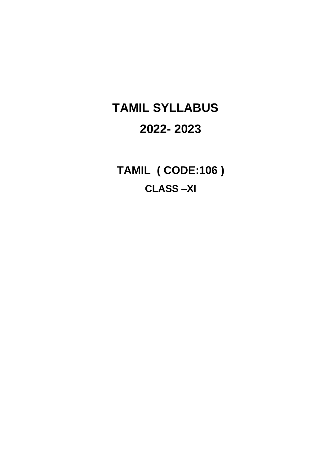# **TAMIL SYLLABUS 2022- 2023**

**TAMIL ( CODE:106 ) CLASS –XI**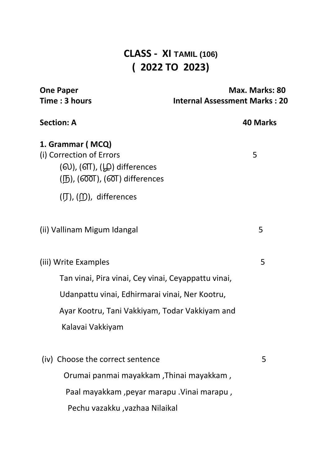## **CLASS - XI TAMIL (106) ( 2022 TO 2023)**

| <b>One Paper</b><br>Time: 3 hours                                                                                                                                              | Max. Marks: 80<br><b>Internal Assessment Marks: 20</b> |  |  |
|--------------------------------------------------------------------------------------------------------------------------------------------------------------------------------|--------------------------------------------------------|--|--|
| <b>Section: A</b>                                                                                                                                                              | <b>40 Marks</b>                                        |  |  |
| 1. Grammar (MCQ)<br>(i) Correction of Errors<br>$(60)$ , $(6T)$ , $(40)$ differences<br>$(\mathbb{D})$ , ( $\widetilde{\text{OOT}}$ ), ( $\widetilde{\text{OT}}$ ) differences | 5                                                      |  |  |
| $(\mathcal{J})$ , $(\mathcal{D})$ , differences                                                                                                                                |                                                        |  |  |
| (ii) Vallinam Migum Idangal                                                                                                                                                    | 5                                                      |  |  |
| (iii) Write Examples                                                                                                                                                           | 5                                                      |  |  |
| Tan vinai, Pira vinai, Cey vinai, Ceyappattu vinai,                                                                                                                            |                                                        |  |  |
| Udanpattu vinai, Edhirmarai vinai, Ner Kootru,                                                                                                                                 |                                                        |  |  |
| Ayar Kootru, Tani Vakkiyam, Todar Vakkiyam and                                                                                                                                 |                                                        |  |  |
| Kalavai Vakkiyam                                                                                                                                                               |                                                        |  |  |
| (iv) Choose the correct sentence                                                                                                                                               | 5                                                      |  |  |
| Orumai panmai mayakkam ,Thinai mayakkam ,                                                                                                                                      |                                                        |  |  |
| Paal mayakkam , peyar marapu . Vinai marapu,                                                                                                                                   |                                                        |  |  |
| Pechu vazakku , vazhaa Nilaikal                                                                                                                                                |                                                        |  |  |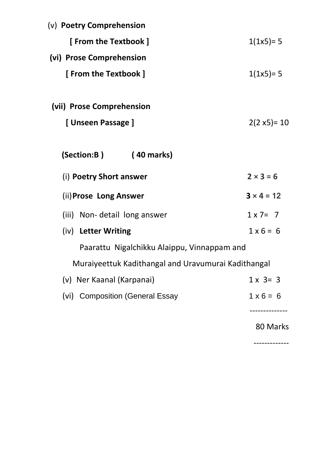| (v) Poetry Comprehension                            |                   |
|-----------------------------------------------------|-------------------|
| [ From the Textbook ]                               | $1(1x5)=5$        |
| (vi) Prose Comprehension                            |                   |
| [ From the Textbook ]                               | $1(1x5)=5$        |
| (vii) Prose Comprehension                           |                   |
| [Unseen Passage]                                    | $2(2 x5)= 10$     |
| (Section:B)<br>$(40$ marks)                         |                   |
| (i) Poetry Short answer                             | $2 \times 3 = 6$  |
| (ii) Prose Long Answer                              | $3 \times 4 = 12$ |
| (iii) Non- detail long answer                       | $1 \times 7 = 7$  |
| (iv) Letter Writing                                 | $1 \times 6 = 6$  |
| Paarattu Nigalchikku Alaippu, Vinnappam and         |                   |
| Muraiyeettuk Kadithangal and Uravumurai Kadithangal |                   |
| (v) Ner Kaanal (Karpanai)                           | $1 \times 3 = 3$  |
| (vi) Composition (General Essay                     | $1 \times 6 = 6$  |
|                                                     | 80 Marks          |

-------------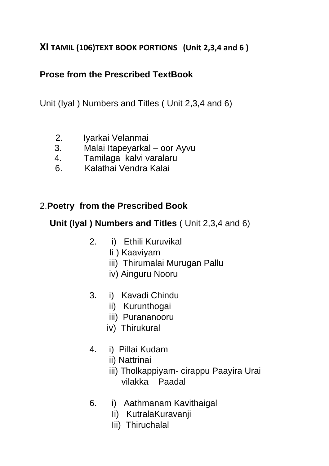#### **XI TAMIL (106)TEXT BOOK PORTIONS (Unit 2,3,4 and 6 )**

## **Prose from the Prescribed TextBook**

Unit (Iyal ) Numbers and Titles ( Unit 2,3,4 and 6)

- 2. Iyarkai Velanmai
- 3. Malai Itapeyarkal oor Ayvu
- 4. Tamilaga kalvi varalaru
- 6. Kalathai Vendra Kalai

## 2.**Poetry from the Prescribed Book**

**Unit (Iyal ) Numbers and Titles** ( Unit 2,3,4 and 6)

- 2. i) Ethili Kuruvikal
	- Ii ) Kaaviyam
	- iii) Thirumalai Murugan Pallu
	- iv) Ainguru Nooru
- 3. i) Kavadi Chindu
	- ii) Kurunthogai
	- iii) Purananooru
	- iv) Thirukural
- 4. i) Pillai Kudam
	- ii) Nattrinai
	- iii) Tholkappiyam- cirappu Paayira Urai vilakka Paadal
- 6. i) Aathmanam Kavithaigal
	- Ii) KutralaKuravanji
	- Iii) Thiruchalal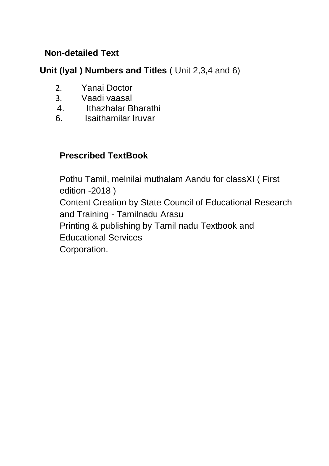#### **Non-detailed Text**

#### **Unit (Iyal ) Numbers and Titles** ( Unit 2,3,4 and 6)

- 2. Yanai Doctor
- 3. Vaadi vaasal
- 4. Ithazhalar Bharathi
- 6. Isaithamilar Iruvar

### **Prescribed TextBook**

Pothu Tamil, melnilai muthalam Aandu for classXI ( First edition -2018 ) Content Creation by State Council of Educational Research and Training - Tamilnadu Arasu Printing & publishing by Tamil nadu Textbook and Educational Services Corporation.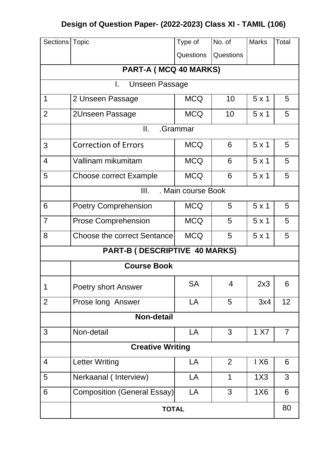## **Design of Question Paper- (2022-2023) Class XI - TAMIL (106)**

| Sections                | <b>Topic</b>                       | Type of    | No. of    | <b>Marks</b> | Total          |  |  |
|-------------------------|------------------------------------|------------|-----------|--------------|----------------|--|--|
|                         |                                    | Questions  | Questions |              |                |  |  |
|                         | PART-A (MCQ 40 MARKS)              |            |           |              |                |  |  |
|                         | I.<br><b>Unseen Passage</b>        |            |           |              |                |  |  |
| 1                       | 2 Unseen Passage                   | <b>MCQ</b> | 10        | 5x1          | 5              |  |  |
| $\overline{2}$          | 2Unseen Passage                    | <b>MCQ</b> | 10        | 5x1          | 5              |  |  |
|                         | II.                                | .Grammar   |           |              |                |  |  |
| 3                       | <b>Correction of Errors</b>        | <b>MCQ</b> | 6         | 5x1          | 5              |  |  |
| $\overline{4}$          | Vallinam mikumitam                 | <b>MCQ</b> | 6         | 5x1          | 5              |  |  |
| 5                       | <b>Choose correct Example</b>      | <b>MCQ</b> | 6         | $5 \times 1$ | 5              |  |  |
|                         | . Main course Book<br>Ш.           |            |           |              |                |  |  |
| 6                       | <b>Poetry Comprehension</b>        | <b>MCQ</b> | 5         | $5 \times 1$ | 5              |  |  |
| $\overline{7}$          | <b>Prose Comprehension</b>         | <b>MCQ</b> | 5         | 5x1          | 5              |  |  |
| 8                       | <b>Choose the correct Sentance</b> | <b>MCQ</b> | 5         | 5x1          | 5              |  |  |
|                         | PART-B (DESCRIPTIVE 40 MARKS)      |            |           |              |                |  |  |
| <b>Course Book</b>      |                                    |            |           |              |                |  |  |
| 1                       | <b>Poetry short Answer</b>         | <b>SA</b>  | 4         | 2x3          | 6              |  |  |
| $\overline{2}$          | Prose long Answer                  | LA         | 5         | 3x4          | 12             |  |  |
| <b>Non-detail</b>       |                                    |            |           |              |                |  |  |
| 3                       | Non-detail                         | LA         | 3         | 1 X7         | $\overline{7}$ |  |  |
| <b>Creative Writing</b> |                                    |            |           |              |                |  |  |
| $\overline{4}$          | <b>Letter Writing</b>              | LA         | 2         | 1 X6         | 6              |  |  |
| 5                       | Nerkaanal (Interview)              | LA         | 1         | 1X3          | $\mathbf{3}$   |  |  |
| 6                       | <b>Composition (General Essay)</b> | LA         | 3         | 1X6          | 6              |  |  |
| <b>TOTAL</b>            |                                    |            |           | 80           |                |  |  |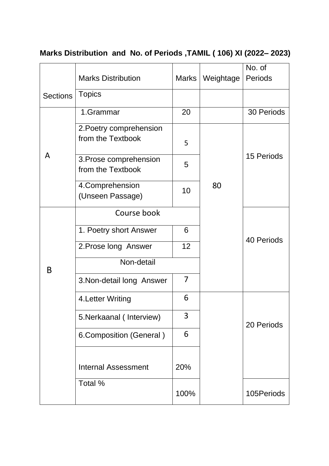## **Marks Distribution and No. of Periods ,TAMIL ( 106) XI (2022– 2023)**

|                 | <b>Marks Distribution</b>                    | Marks | Weightage | No. of<br>Periods |  |
|-----------------|----------------------------------------------|-------|-----------|-------------------|--|
| <b>Sections</b> | <b>Topics</b>                                |       |           |                   |  |
|                 | 1.Grammar                                    | 20    |           | 30 Periods        |  |
| A               | 2. Poetry comprehension<br>from the Textbook | 5     |           |                   |  |
|                 | 3. Prose comprehension<br>from the Textbook  | 5     |           | <b>15 Periods</b> |  |
|                 | 4. Comprehension<br>(Unseen Passage)         | 10    | 80        |                   |  |
|                 | Course book                                  |       |           |                   |  |
|                 | 1. Poetry short Answer                       | 6     |           |                   |  |
|                 | 2. Prose long Answer                         | 12    |           | 40 Periods        |  |
| B               | Non-detail                                   |       |           |                   |  |
|                 | 3. Non-detail long Answer                    | 7     |           |                   |  |
|                 | 4. Letter Writing                            | 6     |           |                   |  |
|                 | 5. Nerkaanal (Interview)                     | 3     |           | 20 Periods        |  |
|                 | 6. Composition (General)                     | 6     |           |                   |  |
|                 |                                              |       |           |                   |  |
|                 | <b>Internal Assessment</b>                   | 20%   |           |                   |  |
|                 | Total %                                      |       |           |                   |  |
|                 |                                              | 100%  |           | 105Periods        |  |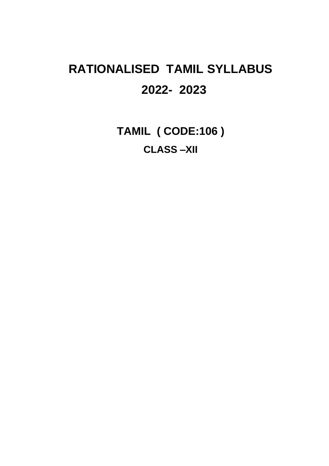# **RATIONALISED TAMIL SYLLABUS 2022- 2023**

**TAMIL ( CODE:106 ) CLASS –XII**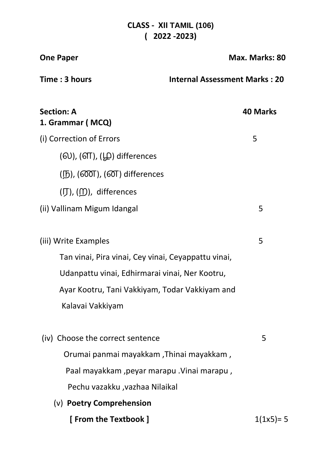#### **CLASS - XII TAMIL (106) ( 2022 -2023)**

| <b>One Paper</b>                                                                       | Max. Marks: 80                       |  |
|----------------------------------------------------------------------------------------|--------------------------------------|--|
| Time : 3 hours                                                                         | <b>Internal Assessment Marks: 20</b> |  |
| <b>Section: A</b><br>1. Grammar (MCQ)                                                  | <b>40 Marks</b>                      |  |
| (i) Correction of Errors                                                               | 5                                    |  |
| $(6)$ , $(6)$ , $(6)$ , $(6)$ differences                                              |                                      |  |
| $(\mathbb{D})$ , ( $\widetilde{\text{OOT}}$ ), ( $\widetilde{\text{OT}}$ ) differences |                                      |  |
| $(\mathcal{J})$ , $(\mathcal{D})$ , differences                                        |                                      |  |
| (ii) Vallinam Migum Idangal                                                            | 5                                    |  |
| (iii) Write Examples                                                                   | 5                                    |  |
| Tan vinai, Pira vinai, Cey vinai, Ceyappattu vinai,                                    |                                      |  |
| Udanpattu vinai, Edhirmarai vinai, Ner Kootru,                                         |                                      |  |
| Ayar Kootru, Tani Vakkiyam, Todar Vakkiyam and                                         |                                      |  |
| Kalavai Vakkiyam                                                                       |                                      |  |
| (iv) Choose the correct sentence                                                       | 5                                    |  |
| Orumai panmai mayakkam ,Thinai mayakkam,                                               |                                      |  |
| Paal mayakkam ,peyar marapu .Vinai marapu,                                             |                                      |  |
| Pechu vazakku , vazhaa Nilaikal                                                        |                                      |  |
| (v) Poetry Comprehension                                                               |                                      |  |
| [ From the Textbook ]                                                                  | $1(1x5)=5$                           |  |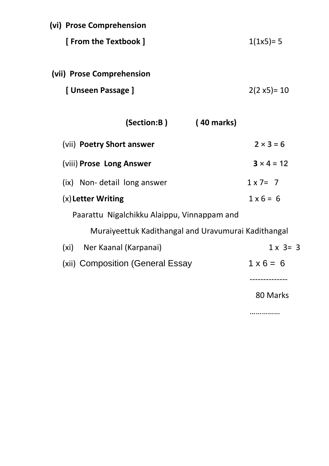| (vi) Prose Comprehension                            |                   |
|-----------------------------------------------------|-------------------|
| [ From the Textbook ]                               | $1(1x5)=5$        |
| (vii) Prose Comprehension                           |                   |
| [Unseen Passage]                                    | $2(2 x5)= 10$     |
| (Section:B)<br>(40 marks)                           |                   |
| (vii) Poetry Short answer                           | $2 \times 3 = 6$  |
| (viii) Prose Long Answer                            | $3 \times 4 = 12$ |
| (ix) Non-detail long answer                         | $1 \times 7 = 7$  |
| (x) Letter Writing                                  | $1 \times 6 = 6$  |
| Paarattu Nigalchikku Alaippu, Vinnappam and         |                   |
| Muraiyeettuk Kadithangal and Uravumurai Kadithangal |                   |
| (xi) Ner Kaanal (Karpanai)                          | $1 \times 3 = 3$  |
| (xii) Composition (General Essay                    | $1 \times 6 = 6$  |
|                                                     | 80 Marks          |

……………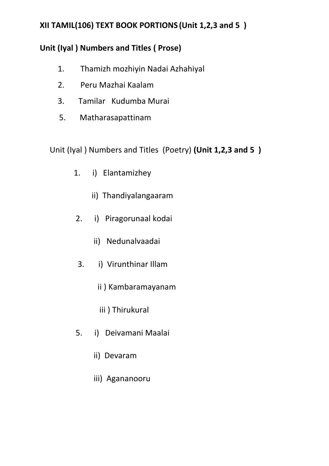#### **XII TAMIL(106) TEXT BOOK PORTIONS (Unit 1,2,3 and 5 )**

#### **Unit (Iyal ) Numbers and Titles ( Prose)**

- 1. Thamizh mozhiyin Nadai Azhahiyal
- 2. Peru Mazhai Kaalam
- 3. Tamilar Kudumba Murai
- 5. Matharasapattinam

Unit (Iyal ) Numbers and Titles (Poetry) **(Unit 1,2,3 and 5 )** 

- 1. i) Elantamizhey
	- ii) Thandiyalangaaram
- 2. i) Piragorunaal kodai
	- ii) Nedunalvaadai
- 3. i) Virunthinar Illam
	- ii ) Kambaramayanam
	- iii ) Thirukural
- 5. i) Deivamani Maalai
	- ii) Devaram
	- iii) Agananooru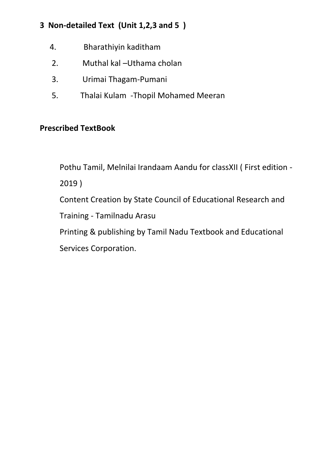#### **3 Non-detailed Text (Unit 1,2,3 and 5 )**

- 4. Bharathiyin kaditham
- 2. Muthal kal –Uthama cholan
- 3. Urimai Thagam-Pumani
- 5. Thalai Kulam -Thopil Mohamed Meeran

#### **Prescribed TextBook**

Pothu Tamil, Melnilai Irandaam Aandu for classXII ( First edition - 2019 ) Content Creation by State Council of Educational Research and Training - Tamilnadu Arasu

Printing & publishing by Tamil Nadu Textbook and Educational Services Corporation.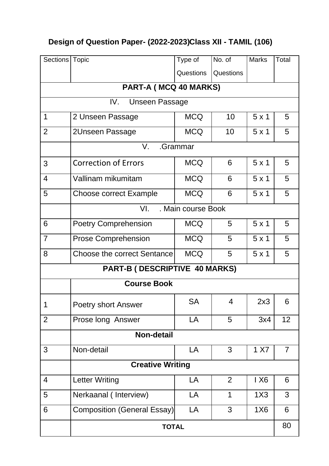## **Design of Question Paper- (2022-2023) Class XII - TAMIL (106)**

| Sections   Topic              |                                    | Type of    | No. of         | <b>Marks</b> | Total          |  |  |
|-------------------------------|------------------------------------|------------|----------------|--------------|----------------|--|--|
|                               |                                    | Questions  | Questions      |              |                |  |  |
| PART-A (MCQ 40 MARKS)         |                                    |            |                |              |                |  |  |
|                               | IV.<br><b>Unseen Passage</b>       |            |                |              |                |  |  |
| $\mathbf 1$                   | 2 Unseen Passage                   | <b>MCQ</b> | 10             | $5 \times 1$ | 5              |  |  |
| $\overline{2}$                | 2Unseen Passage                    | <b>MCQ</b> | 10             | $5 \times 1$ | 5              |  |  |
|                               | V.                                 | .Grammar   |                |              |                |  |  |
| 3                             | <b>Correction of Errors</b>        | <b>MCQ</b> | 6              | 5x1          | 5              |  |  |
| $\overline{4}$                | Vallinam mikumitam                 | <b>MCQ</b> | 6              | $5 \times 1$ | 5              |  |  |
| 5                             | <b>Choose correct Example</b>      | <b>MCQ</b> | 6              | 5x1          | 5              |  |  |
|                               | VI.<br>. Main course Book          |            |                |              |                |  |  |
| 6                             | <b>Poetry Comprehension</b>        | <b>MCQ</b> | 5              | 5x1          | 5              |  |  |
| $\overline{7}$                | <b>Prose Comprehension</b>         | <b>MCQ</b> | 5              | 5x1          | 5              |  |  |
| 8                             | <b>Choose the correct Sentance</b> | <b>MCQ</b> | 5              | $5 \times 1$ | 5              |  |  |
| PART-B (DESCRIPTIVE 40 MARKS) |                                    |            |                |              |                |  |  |
| <b>Course Book</b>            |                                    |            |                |              |                |  |  |
| 1                             | <b>Poetry short Answer</b>         | <b>SA</b>  | 4              | 2x3          | 6              |  |  |
| $\overline{2}$                | Prose long Answer                  | LA         | 5              | 3x4          | 12             |  |  |
|                               | <b>Non-detail</b>                  |            |                |              |                |  |  |
| 3                             | Non-detail                         | LA         | 3              | 1 X7         | $\overline{7}$ |  |  |
| <b>Creative Writing</b>       |                                    |            |                |              |                |  |  |
| $\overline{4}$                | <b>Letter Writing</b>              | LA         | $\overline{2}$ | 1X6          | 6              |  |  |
| 5                             | Nerkaanal (Interview)              | LA         | 1              | 1X3          | 3              |  |  |
| 6                             | <b>Composition (General Essay)</b> | LA         | 3              | 1X6          | 6              |  |  |
| <b>TOTAL</b>                  |                                    |            |                | 80           |                |  |  |